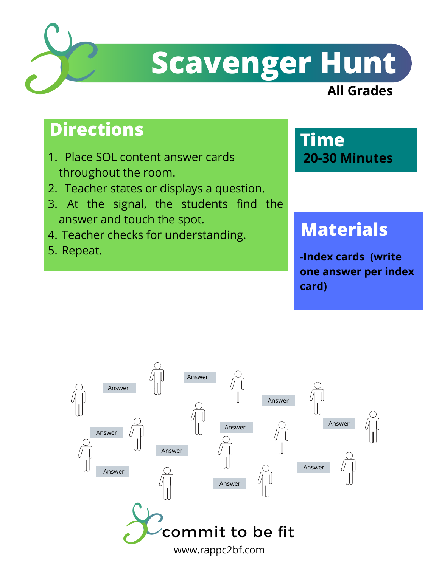

# **Scavenger Hunt**

#### **All Grades**

### **Directions**

- Place SOL content answer cards 1. throughout the room.
- 2. Teacher states or displays a question.
- At the signal, the students find the 3. answer and touch the spot.
- 4. Teacher checks for understanding.
- 5. Repeat.

#### **Time 20-30 Minutes**

## **Materials**

**-Index cards (write one answer per index card)**